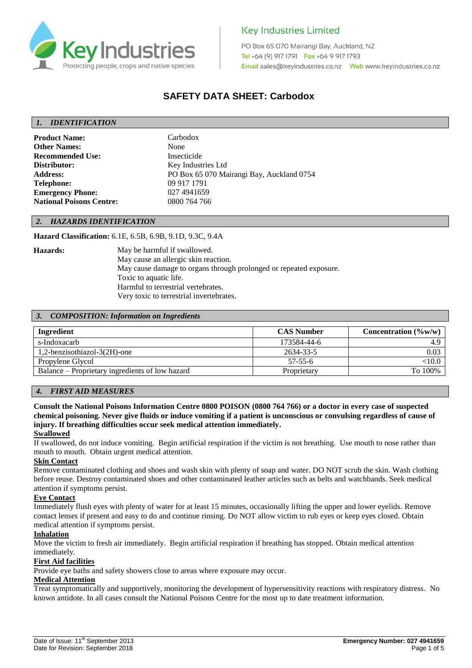

PO Box 65 070 Mairangi Bay, Auckland, NZ Tel +64 (9) 917 1791 Fax +64 9 917 1793 

# **SAFETY DATA SHEET: Carbodox**

# *1. IDENTIFICATION*

Product Name: Carbodox **Other Names:** None **Recommended Use:** Insecticide **Distributor:** Key Industries Ltd **Telephone:** 09 917 1791 **Emergency Phone:** 027 4941659 **National Poisons Centre:** 0800 764 766

**Address:** PO Box 65 070 Mairangi Bay, Auckland 0754

#### *2. HAZARDS IDENTIFICATION*

**Hazard Classification:** 6.1E, 6.5B, 6.9B, 9.1D, 9.3C, 9.4A

**Hazards:** May be harmful if swallowed. May cause an allergic skin reaction. May cause damage to organs through prolonged or repeated exposure. Toxic to aquatic life. Harmful to terrestrial vertebrates. Very toxic to terrestrial invertebrates.

#### *3. COMPOSITION: Information on Ingredients*

| Ingredient                                      | <b>CAS Number</b> | Concentration $(\%w/w)$ |
|-------------------------------------------------|-------------------|-------------------------|
| s-Indoxacarb                                    | 173584-44-6       |                         |
| 1,2-benzisothiazol-3(2H)-one                    | 2634-33-5         | 0.03                    |
| Propylene Glycol                                | $57 - 55 - 6$     | ${<}10.0$               |
| Balance – Proprietary ingredients of low hazard | Proprietary       | To 100%                 |

# *4. FIRST AID MEASURES*

**Consult the National Poisons Information Centre 0800 POISON (0800 764 766) or a doctor in every case of suspected chemical poisoning. Never give fluids or induce vomiting if a patient is unconscious or convulsing regardless of cause of injury. If breathing difficulties occur seek medical attention immediately.**

#### **Swallowed**

If swallowed, do not induce vomiting. Begin artificial respiration if the victim is not breathing. Use mouth to nose rather than mouth to mouth. Obtain urgent medical attention.

#### **Skin Contact**

Remove contaminated clothing and shoes and wash skin with plenty of soap and water. DO NOT scrub the skin. Wash clothing before reuse. Destroy contaminated shoes and other contaminated leather articles such as belts and watchbands. Seek medical attention if symptoms persist.

#### **Eye Contact**

Immediately flush eyes with plenty of water for at least 15 minutes, occasionally lifting the upper and lower eyelids. Remove contact lenses if present and easy to do and continue rinsing. Do NOT allow victim to rub eyes or keep eyes closed. Obtain medical attention if symptoms persist.

# **Inhalation**

Move the victim to fresh air immediately. Begin artificial respiration if breathing has stopped. Obtain medical attention immediately.

# **First Aid facilities**

Provide eye baths and safety showers close to areas where exposure may occur.

#### **Medical Attention**

Treat symptomatically and supportively, monitoring the development of hypersensitivity reactions with respiratory distress. No known antidote. In all cases consult the National Poisons Centre for the most up to date treatment information.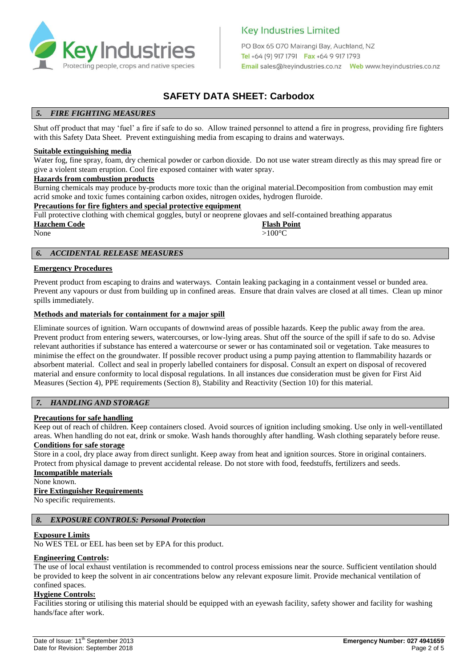

PO Box 65 070 Mairangi Bay, Auckland, NZ Tel +64 (9) 917 1791 Fax +64 9 917 1793 

# **SAFETY DATA SHEET: Carbodox**

# *5. FIRE FIGHTING MEASURES*

Shut off product that may 'fuel' a fire if safe to do so. Allow trained personnel to attend a fire in progress, providing fire fighters with this Safety Data Sheet. Prevent extinguishing media from escaping to drains and waterways.

#### **Suitable extinguishing media**

Water fog, fine spray, foam, dry chemical powder or carbon dioxide. Do not use water stream directly as this may spread fire or give a violent steam eruption. Cool fire exposed container with water spray.

# **Hazards from combustion products**

Burning chemicals may produce by-products more toxic than the original material.Decomposition from combustion may emit acrid smoke and toxic fumes containing carbon oxides, nitrogen oxides, hydrogen fluroide.

# **Precautions for fire fighters and special protective equipment**

Full protective clothing with chemical goggles, butyl or neoprene glovaes and self-contained breathing apparatus

| <b>Hazchem Code</b> | <b>Flash Point</b> |  |
|---------------------|--------------------|--|
| None                | $>100^{\circ}C$    |  |

#### *6. ACCIDENTAL RELEASE MEASURES*

#### **Emergency Procedures**

Prevent product from escaping to drains and waterways. Contain leaking packaging in a containment vessel or bunded area. Prevent any vapours or dust from building up in confined areas. Ensure that drain valves are closed at all times. Clean up minor spills immediately.

#### **Methods and materials for containment for a major spill**

Eliminate sources of ignition. Warn occupants of downwind areas of possible hazards. Keep the public away from the area. Prevent product from entering sewers, watercourses, or low-lying areas. Shut off the source of the spill if safe to do so. Advise relevant authorities if substance has entered a watercourse or sewer or has contaminated soil or vegetation. Take measures to minimise the effect on the groundwater. If possible recover product using a pump paying attention to flammability hazards or absorbent material. Collect and seal in properly labelled containers for disposal. Consult an expert on disposal of recovered material and ensure conformity to local disposal regulations. In all instances due consideration must be given for First Aid Measures (Section 4), PPE requirements (Section 8), Stability and Reactivity (Section 10) for this material.

# *7. HANDLING AND STORAGE*

#### **Precautions for safe handling**

Keep out of reach of children. Keep containers closed. Avoid sources of ignition including smoking. Use only in well-ventillated areas. When handling do not eat, drink or smoke. Wash hands thoroughly after handling. Wash clothing separately before reuse.

# **Conditions for safe storage**

Store in a cool, dry place away from direct sunlight. Keep away from heat and ignition sources. Store in original containers. Protect from physical damage to prevent accidental release. Do not store with food, feedstuffs, fertilizers and seeds.

# **Incompatible materials**

None known.

# **Fire Extinguisher Requirements**

No specific requirements.

# *8. EXPOSURE CONTROLS: Personal Protection*

#### **Exposure Limits**

No WES TEL or EEL has been set by EPA for this product.

# **Engineering Controls:**

The use of local exhaust ventilation is recommended to control process emissions near the source. Sufficient ventilation should be provided to keep the solvent in air concentrations below any relevant exposure limit. Provide mechanical ventilation of confined spaces.

#### **Hygiene Controls:**

Facilities storing or utilising this material should be equipped with an eyewash facility, safety shower and facility for washing hands/face after work.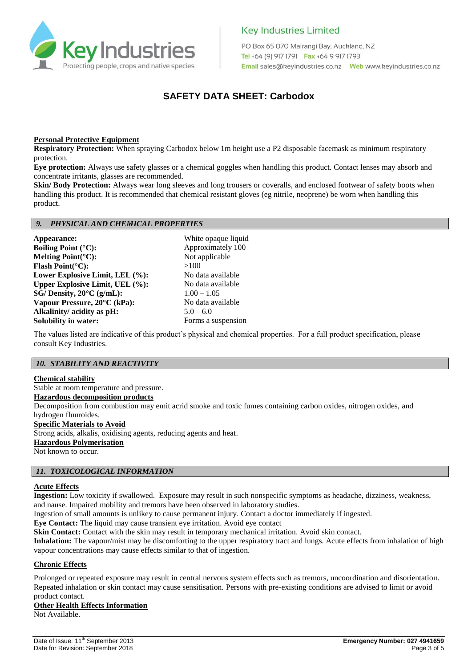

PO Box 65 070 Mairangi Bay, Auckland, NZ Tel +64 (9) 917 1791 Fax +64 9 917 1793 

# **SAFETY DATA SHEET: Carbodox**

# **Personal Protective Equipment**

**Respiratory Protection:** When spraying Carbodox below 1m height use a P2 disposable facemask as minimum respiratory protection.

**Eye protection:** Always use safety glasses or a chemical goggles when handling this product. Contact lenses may absorb and concentrate irritants, glasses are recommended.

**Skin/ Body Protection:** Always wear long sleeves and long trousers or coveralls, and enclosed footwear of safety boots when handling this product. It is recommended that chemical resistant gloves (eg nitrile, neoprene) be worn when handling this product.

#### *9. PHYSICAL AND CHEMICAL PROPERTIES*

**Appearance:** White opaque liquid **Boiling Point** (°C): Approximately 100 **Melting Point(°C):** Not applicable **Flash Point(°C):** >100 **Lower Explosive Limit, LEL (%):** No data available **Upper Explosive Limit, UEL (%):** No data available<br>
SG/Density  $20^{\circ}C$  ( $\sigma/mL$ ):  $100-105$ **SG/ Density, 20°C (g/mL): Vapour Pressure, 20°C (kPa):** No data available **Alkalinity/ acidity as pH:** 5.0 – 6.0 **Solubility in water:** Forms a suspension

The values listed are indicative of this product's physical and chemical properties. For a full product specification, please consult Key Industries.

# *10. STABILITY AND REACTIVITY*

#### **Chemical stability**

Stable at room temperature and pressure. **Hazardous decomposition products** Decomposition from combustion may emit acrid smoke and toxic fumes containing carbon oxides, nitrogen oxides, and hydrogen fluuroides. **Specific Materials to Avoid** Strong acids, alkalis, oxidising agents, reducing agents and heat. **Hazardous Polymerisation** Not known to occur.

#### *11. TOXICOLOGICAL INFORMATION*

#### **Acute Effects**

**Ingestion:** Low toxicity if swallowed. Exposure may result in such nonspecific symptoms as headache, dizziness, weakness, and nause. Impaired mobility and tremors have been observed in laboratory studies.

Ingestion of small amounts is unlikey to cause permanent injury. Contact a doctor immediately if ingested.

**Eye Contact:** The liquid may cause transient eye irritation. Avoid eye contact

**Skin Contact:** Contact with the skin may result in temporary mechanical irritation. Avoid skin contact.

**Inhalation:** The vapour/mist may be discomforting to the upper respiratory tract and lungs. Acute effects from inhalation of high vapour concentrations may cause effects similar to that of ingestion.

#### **Chronic Effects**

Prolonged or repeated exposure may result in central nervous system effects such as tremors, uncoordination and disorientation. Repeated inhalation or skin contact may cause sensitisation. Persons with pre-existing conditions are advised to limit or avoid product contact.

# **Other Health Effects Information**

Not Available.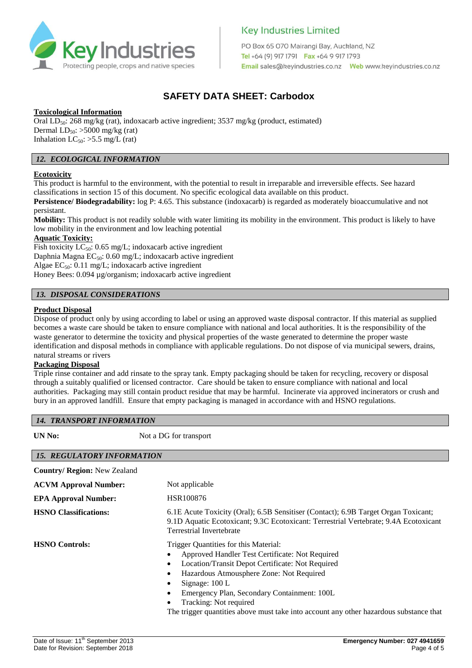

PO Box 65 070 Mairangi Bay, Auckland, NZ Tel +64 (9) 917 1791 Fax +64 9 917 1793 

# **SAFETY DATA SHEET: Carbodox**

# **Toxicological Information**

Oral  $LD_{50}$ : 268 mg/kg (rat), indoxacarb active ingredient; 3537 mg/kg (product, estimated) Dermal  $LD_{50}$ : >5000 mg/kg (rat) Inhalation  $LC_{50}$ : >5.5 mg/L (rat)

# *12. ECOLOGICAL INFORMATION*

# **Ecotoxicity**

This product is harmful to the environment, with the potential to result in irreparable and irreversible effects. See hazard classifications in section 15 of this document. No specific ecological data available on this product.

**Persistence/ Biodegradability:**  $log P: 4.65$ . This substance (indoxacarb) is regarded as moderately bioaccumulative and not persistant.

**Mobility:** This product is not readily soluble with water limiting its mobility in the environment. This product is likely to have low mobility in the environment and low leaching potential

# **Aquatic Toxicity:**

Fish toxicity  $LC_{50}$ : 0.65 mg/L; indoxacarb active ingredient Daphnia Magna  $EC_{50}$ : 0.60 mg/L; indoxacarb active ingredient Algae  $EC_{50}$ : 0.11 mg/L; indoxacarb active ingredient Honey Bees: 0.094 µg/organism; indoxacarb active ingredient

#### *13. DISPOSAL CONSIDERATIONS*

#### **Product Disposal**

Dispose of product only by using according to label or using an approved waste disposal contractor. If this material as supplied becomes a waste care should be taken to ensure compliance with national and local authorities. It is the responsibility of the waste generator to determine the toxicity and physical properties of the waste generated to determine the proper waste identification and disposal methods in compliance with applicable regulations. Do not dispose of via municipal sewers, drains, natural streams or rivers

#### **Packaging Disposal**

Triple rinse container and add rinsate to the spray tank. Empty packaging should be taken for recycling, recovery or disposal through a suitably qualified or licensed contractor. Care should be taken to ensure compliance with national and local authorities. Packaging may still contain product residue that may be harmful. Incinerate via approved incinerators or crush and bury in an approved landfill. Ensure that empty packaging is managed in accordance with and HSNO regulations.

# *14. TRANSPORT INFORMATION*

**UN No:** Not a DG for transport

| <b>15. REGULATORY INFORMATION</b>   |                                                                                                                                                                                                                                                                                                                                                                                                                        |
|-------------------------------------|------------------------------------------------------------------------------------------------------------------------------------------------------------------------------------------------------------------------------------------------------------------------------------------------------------------------------------------------------------------------------------------------------------------------|
| <b>Country/ Region: New Zealand</b> |                                                                                                                                                                                                                                                                                                                                                                                                                        |
| <b>ACVM Approval Number:</b>        | Not applicable                                                                                                                                                                                                                                                                                                                                                                                                         |
| <b>EPA Approval Number:</b>         | HSR100876                                                                                                                                                                                                                                                                                                                                                                                                              |
| <b>HSNO</b> Classifications:        | 6.1E Acute Toxicity (Oral); 6.5B Sensitiser (Contact); 6.9B Target Organ Toxicant;<br>9.1D Aquatic Ecotoxicant; 9.3C Ecotoxicant: Terrestrial Vertebrate; 9.4A Ecotoxicant<br>Terrestrial Invertebrate                                                                                                                                                                                                                 |
| <b>HSNO Controls:</b>               | Trigger Quantities for this Material:<br>Approved Handler Test Certificate: Not Required<br>Location/Transit Depot Certificate: Not Required<br>$\bullet$<br>Hazardous Atmousphere Zone: Not Required<br>$\bullet$<br>Signage: $100 L$<br>Emergency Plan, Secondary Containment: 100L<br>$\bullet$<br>Tracking: Not required<br>The trigger quantities above must take into account any other hazardous substance that |